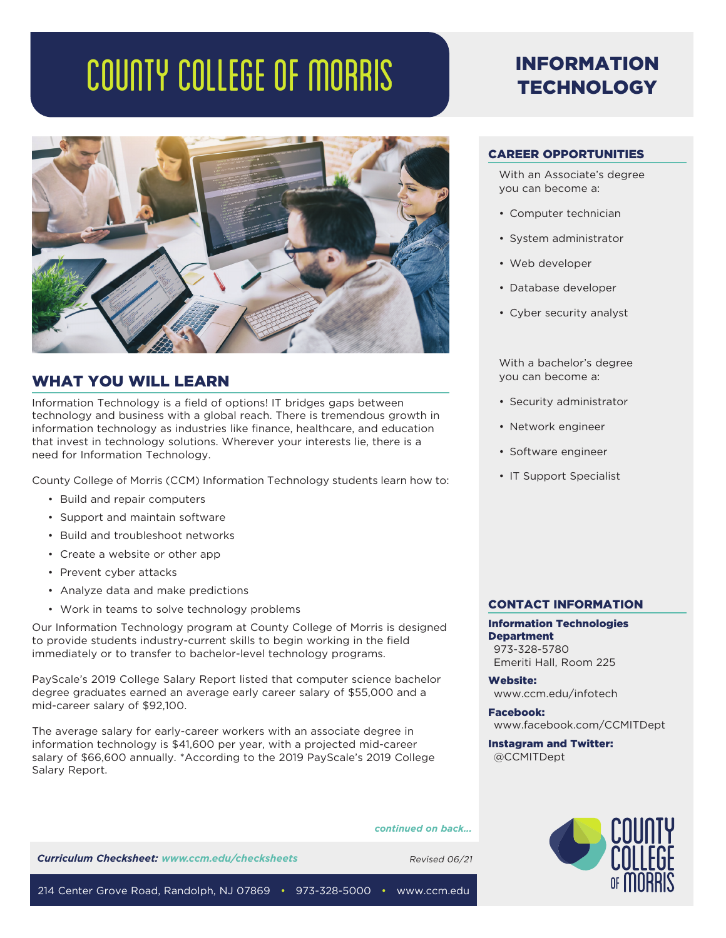# COUNTY COLLEGE OF MORRIS



## WHAT YOU WILL LEARN

Information Technology is a field of options! IT bridges gaps between technology and business with a global reach. There is tremendous growth in information technology as industries like finance, healthcare, and education that invest in technology solutions. Wherever your interests lie, there is a need for Information Technology.

County College of Morris (CCM) Information Technology students learn how to:

- Build and repair computers
- Support and maintain software
- Build and troubleshoot networks
- Create a website or other app
- Prevent cyber attacks
- Analyze data and make predictions
- Work in teams to solve technology problems

Our Information Technology program at County College of Morris is designed to provide students industry-current skills to begin working in the field immediately or to transfer to bachelor-level technology programs.

PayScale's 2019 College Salary Report listed that computer science bachelor degree graduates earned an average early career salary of \$55,000 and a mid-career salary of \$92,100.

The average salary for early-career workers with an associate degree in information technology is \$41,600 per year, with a projected mid-career salary of \$66,600 annually. \*According to the 2019 PayScale's 2019 College Salary Report.

*continued on back...*

**Curriculum Checksheet: www.ccm.edu/checksheets** Revised 06/21

## INFORMATION **TECHNOLOGY**

### CAREER OPPORTUNITIES

With an Associate's degree you can become a:

- Computer technician
- System administrator
- Web developer
- Database developer
- Cyber security analyst

With a bachelor's degree you can become a:

- Security administrator
- Network engineer
- Software engineer
- IT Support Specialist

#### CONTACT INFORMATION

Information Technologies **Department** 973-328-5780 Emeriti Hall, Room 225

Website: www.ccm.edu/infotech

Facebook: www.facebook.com/CCMITDept

Instagram and Twitter: @CCMITDept



214 Center Grove Road, Randolph, NJ 07869 • 973-328-5000 • www.ccm.edu